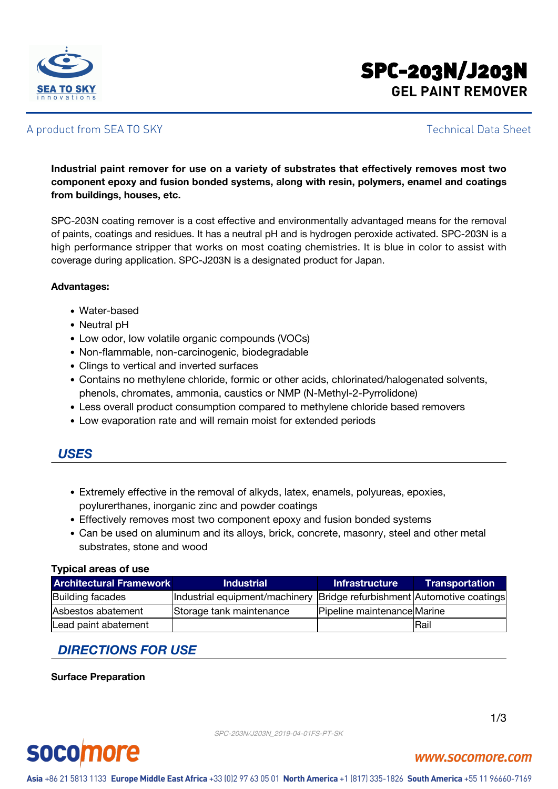

## SPC-203N/J203N **GEL PAINT REMOVER**

#### A product from SEA TO SKY Technical Data Sheet

**Industrial paint remover for use on a variety of substrates that effectively removes most two component epoxy and fusion bonded systems, along with resin, polymers, enamel and coatings from buildings, houses, etc.**

SPC-203N coating remover is a cost effective and environmentally advantaged means for the removal of paints, coatings and residues. It has a neutral pH and is hydrogen peroxide activated. SPC-203N is a high performance stripper that works on most coating chemistries. It is blue in color to assist with coverage during application. SPC-J203N is a designated product for Japan.

#### **Advantages:**

- Water-based
- Neutral pH
- Low odor, low volatile organic compounds (VOCs)
- Non-flammable, non-carcinogenic, biodegradable
- Clings to vertical and inverted surfaces
- Contains no methylene chloride, formic or other acids, chlorinated/halogenated solvents, phenols, chromates, ammonia, caustics or NMP (N-Methyl-2-Pyrrolidone)
- Less overall product consumption compared to methylene chloride based removers
- Low evaporation rate and will remain moist for extended periods

#### *USES*

- Extremely effective in the removal of alkyds, latex, enamels, polyureas, epoxies, poylurerthanes, inorganic zinc and powder coatings
- Effectively removes most two component epoxy and fusion bonded systems
- Can be used on aluminum and its alloys, brick, concrete, masonry, steel and other metal substrates, stone and wood

#### **Typical areas of use**

| <b>Architectural Framework</b> | <b>Industrial</b>                                                         | <b>Infrastructure</b>       | <b>Transportation</b> |
|--------------------------------|---------------------------------------------------------------------------|-----------------------------|-----------------------|
| <b>Building facades</b>        | Industrial equipment/machinery  Bridge refurbishment  Automotive coatings |                             |                       |
| Asbestos abatement             | Storage tank maintenance                                                  | Pipeline maintenance Marine |                       |
| Lead paint abatement           |                                                                           |                             | <b>Rail</b>           |

### *DIRECTIONS FOR USE*

#### **Surface Preparation**

SPC-203N/J203N\_2019-04-01FS-PT-SK



## **socomore**

www.socomore.com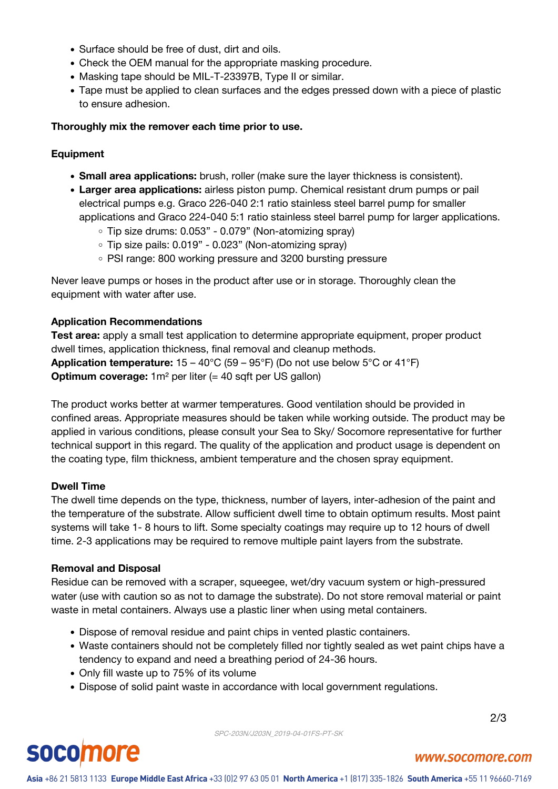- Surface should be free of dust, dirt and oils.
- Check the OEM manual for the appropriate masking procedure.
- Masking tape should be MIL-T-23397B, Type II or similar.
- Tape must be applied to clean surfaces and the edges pressed down with a piece of plastic to ensure adhesion.

#### **Thoroughly mix the remover each time prior to use.**

#### **Equipment**

- **Small area applications:** brush, roller (make sure the layer thickness is consistent).
- **Larger area applications:** airless piston pump. Chemical resistant drum pumps or pail electrical pumps e.g. Graco 226-040 2:1 ratio stainless steel barrel pump for smaller applications and Graco 224-040 5:1 ratio stainless steel barrel pump for larger applications.
	- $\circ$  Tip size drums: 0.053" 0.079" (Non-atomizing spray)
	- $\circ$  Tip size pails: 0.019" 0.023" (Non-atomizing spray)
	- PSI range: 800 working pressure and 3200 bursting pressure

Never leave pumps or hoses in the product after use or in storage. Thoroughly clean the equipment with water after use.

#### **Application Recommendations**

**Test area:** apply a small test application to determine appropriate equipment, proper product dwell times, application thickness, final removal and cleanup methods. **Application temperature:** 15 – 40°C (59 – 95°F) (Do not use below 5°C or 41°F) **Optimum coverage:** 1m<sup>2</sup> per liter (= 40 sqft per US gallon)

The product works better at warmer temperatures. Good ventilation should be provided in confined areas. Appropriate measures should be taken while working outside. The product may be applied in various conditions, please consult your Sea to Sky/ Socomore representative for further technical support in this regard. The quality of the application and product usage is dependent on the coating type, film thickness, ambient temperature and the chosen spray equipment.

#### **Dwell Time**

The dwell time depends on the type, thickness, number of layers, inter-adhesion of the paint and the temperature of the substrate. Allow sufficient dwell time to obtain optimum results. Most paint systems will take 1- 8 hours to lift. Some specialty coatings may require up to 12 hours of dwell time. 2-3 applications may be required to remove multiple paint layers from the substrate.

#### **Removal and Disposal**

Residue can be removed with a scraper, squeegee, wet/dry vacuum system or high-pressured water (use with caution so as not to damage the substrate). Do not store removal material or paint waste in metal containers. Always use a plastic liner when using metal containers.

- Dispose of removal residue and paint chips in vented plastic containers.
- Waste containers should not be completely filled nor tightly sealed as wet paint chips have a tendency to expand and need a breathing period of 24-36 hours.
- Only fill waste up to 75% of its volume
- Dispose of solid paint waste in accordance with local government regulations.

2/3

# **socomore**

#### www.socomore.com

Asia +86 21 5813 1133 Europe Middle East Africa +33 (0)2 97 63 05 01 North America +1 (817) 335-1826 South America +55 11 96660-7169